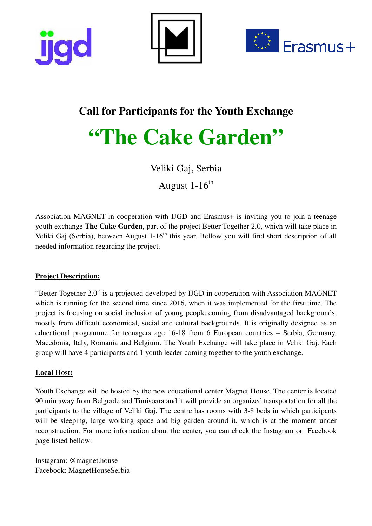





# **Call for Participants for the Youth Exchange**

# **"The Cake Garden"**

Veliki Gaj, Serbia

August 1-16<sup>th</sup>

Association MAGNET in cooperation with IJGD and Erasmus+ is inviting you to join a teenage youth exchange **The Cake Garden**, part of the project Better Together 2.0, which will take place in Veliki Gaj (Serbia), between August 1-16<sup>th</sup> this year. Bellow you will find short description of all needed information regarding the project.

# **Project Description:**

"Better Together 2.0" is a projected developed by IJGD in cooperation with Association MAGNET which is running for the second time since 2016, when it was implemented for the first time. The project is focusing on social inclusion of young people coming from disadvantaged backgrounds, mostly from difficult economical, social and cultural backgrounds. It is originally designed as an educational programme for teenagers age 16-18 from 6 European countries – Serbia, Germany, Macedonia, Italy, Romania and Belgium. The Youth Exchange will take place in Veliki Gaj. Each group will have 4 participants and 1 youth leader coming together to the youth exchange.

# **Local Host:**

Youth Exchange will be hosted by the new educational center Magnet House. The center is located 90 min away from Belgrade and Timisoara and it will provide an organized transportation for all the participants to the village of Veliki Gaj. The centre has rooms with 3-8 beds in which participants will be sleeping, large working space and big garden around it, which is at the moment under reconstruction. For more information about the center, you can check the Instagram or Facebook page listed bellow:

Instagram: @magnet.house Facebook: MagnetHouseSerbia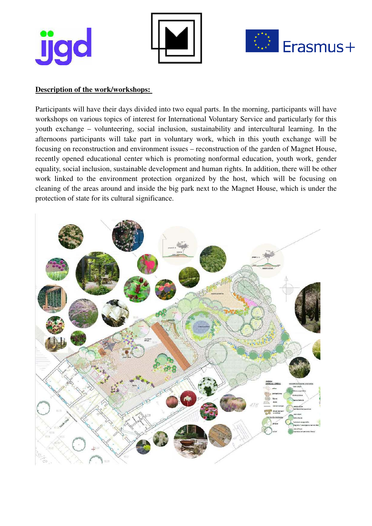**ijqc** 





#### **Description of the work/workshops:**

Participants will have their days divided into two equal parts. In the morning, participants will have workshops on various topics of interest for International Voluntary Service and particularly for this youth exchange – volunteering, social inclusion, sustainability and intercultural learning. In the afternoons participants will take part in voluntary work, which in this youth exchange will be focusing on reconstruction and environment issues – reconstruction of the garden of Magnet House, recently opened educational center which is promoting nonformal education, youth work, gender equality, social inclusion, sustainable development and human rights. In addition, there will be other work linked to the environment protection organized by the host, which will be focusing on cleaning of the areas around and inside the big park next to the Magnet House, which is under the protection of state for its cultural significance.

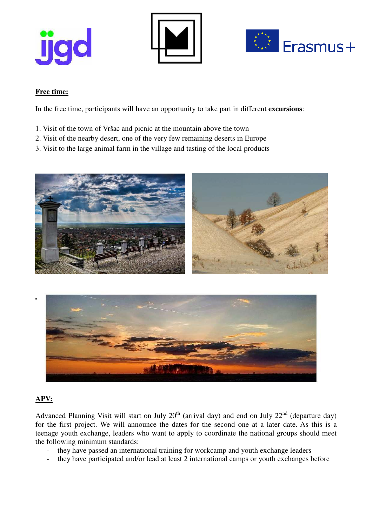





#### **Free time:**

In the free time, participants will have an opportunity to take part in different **excursions**:

- 1. Visit of the town of Vršac and picnic at the mountain above the town
- 2. Visit of the nearby desert, one of the very few remaining deserts in Europe
- 3. Visit to the large animal farm in the village and tasting of the local products





#### **APV:**

Advanced Planning Visit will start on July  $20<sup>th</sup>$  (arrival day) and end on July  $22<sup>nd</sup>$  (departure day) for the first project. We will announce the dates for the second one at a later date. As this is a teenage youth exchange, leaders who want to apply to coordinate the national groups should meet the following minimum standards:

- they have passed an international training for workcamp and youth exchange leaders
- they have participated and/or lead at least 2 international camps or youth exchanges before